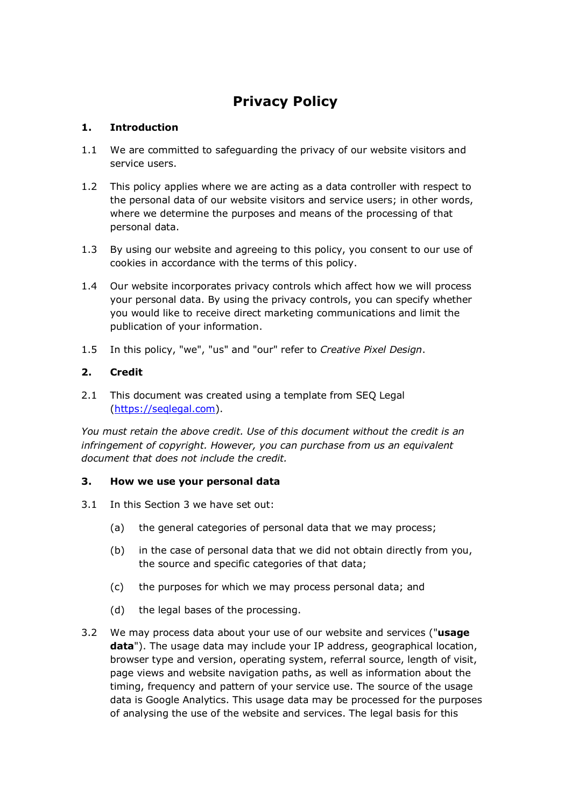# **Privacy Policy**

## **1. Introduction**

- 1.1 We are committed to safeguarding the privacy of our website visitors and service users.
- 1.2 This policy applies where we are acting as a data controller with respect to the personal data of our website visitors and service users; in other words, where we determine the purposes and means of the processing of that personal data.
- 1.3 By using our website and agreeing to this policy, you consent to our use of cookies in accordance with the terms of this policy.
- 1.4 Our website incorporates privacy controls which affect how we will process your personal data. By using the privacy controls, you can specify whether you would like to receive direct marketing communications and limit the publication of your information.
- 1.5 In this policy, "we", "us" and "our" refer to *Creative Pixel Design*.

## **2. Credit**

2.1 This document was created using a template from SEQ Legal (https://seqlegal.com).

*You must retain the above credit. Use of this document without the credit is an infringement of copyright. However, you can purchase from us an equivalent document that does not include the credit.*

## **3. How we use your personal data**

- 3.1 In this Section 3 we have set out:
	- (a) the general categories of personal data that we may process;
	- (b) in the case of personal data that we did not obtain directly from you, the source and specific categories of that data;
	- (c) the purposes for which we may process personal data; and
	- (d) the legal bases of the processing.
- 3.2 We may process data about your use of our website and services ("**usage data**"). The usage data may include your IP address, geographical location, browser type and version, operating system, referral source, length of visit, page views and website navigation paths, as well as information about the timing, frequency and pattern of your service use. The source of the usage data is Google Analytics. This usage data may be processed for the purposes of analysing the use of the website and services. The legal basis for this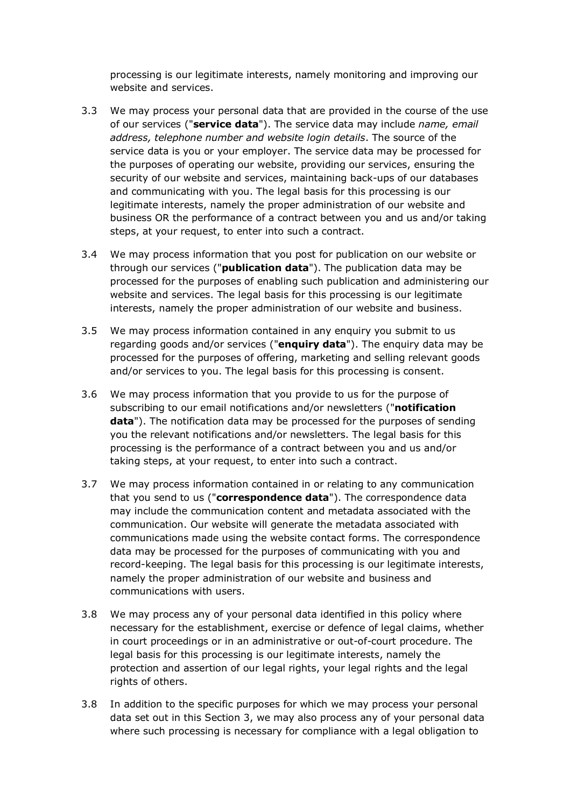processing is our legitimate interests, namely monitoring and improving our website and services.

- 3.3 We may process your personal data that are provided in the course of the use of our services ("**service data**"). The service data may include *name, email address, telephone number and website login details*. The source of the service data is you or your employer. The service data may be processed for the purposes of operating our website, providing our services, ensuring the security of our website and services, maintaining back-ups of our databases and communicating with you. The legal basis for this processing is our legitimate interests, namely the proper administration of our website and business OR the performance of a contract between you and us and/or taking steps, at your request, to enter into such a contract.
- 3.4 We may process information that you post for publication on our website or through our services ("**publication data**"). The publication data may be processed for the purposes of enabling such publication and administering our website and services. The legal basis for this processing is our legitimate interests, namely the proper administration of our website and business.
- 3.5 We may process information contained in any enquiry you submit to us regarding goods and/or services ("**enquiry data**"). The enquiry data may be processed for the purposes of offering, marketing and selling relevant goods and/or services to you. The legal basis for this processing is consent.
- 3.6 We may process information that you provide to us for the purpose of subscribing to our email notifications and/or newsletters ("**notification data**"). The notification data may be processed for the purposes of sending you the relevant notifications and/or newsletters. The legal basis for this processing is the performance of a contract between you and us and/or taking steps, at your request, to enter into such a contract.
- 3.7 We may process information contained in or relating to any communication that you send to us ("**correspondence data**"). The correspondence data may include the communication content and metadata associated with the communication. Our website will generate the metadata associated with communications made using the website contact forms. The correspondence data may be processed for the purposes of communicating with you and record-keeping. The legal basis for this processing is our legitimate interests, namely the proper administration of our website and business and communications with users.
- 3.8 We may process any of your personal data identified in this policy where necessary for the establishment, exercise or defence of legal claims, whether in court proceedings or in an administrative or out-of-court procedure. The legal basis for this processing is our legitimate interests, namely the protection and assertion of our legal rights, your legal rights and the legal rights of others.
- 3.8 In addition to the specific purposes for which we may process your personal data set out in this Section 3, we may also process any of your personal data where such processing is necessary for compliance with a legal obligation to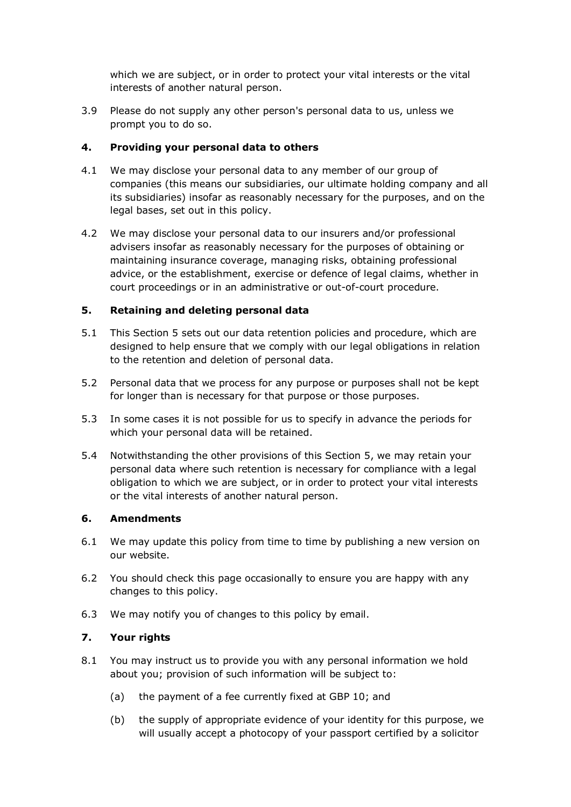which we are subject, or in order to protect your vital interests or the vital interests of another natural person.

3.9 Please do not supply any other person's personal data to us, unless we prompt you to do so.

## **4. Providing your personal data to others**

- 4.1 We may disclose your personal data to any member of our group of companies (this means our subsidiaries, our ultimate holding company and all its subsidiaries) insofar as reasonably necessary for the purposes, and on the legal bases, set out in this policy.
- 4.2 We may disclose your personal data to our insurers and/or professional advisers insofar as reasonably necessary for the purposes of obtaining or maintaining insurance coverage, managing risks, obtaining professional advice, or the establishment, exercise or defence of legal claims, whether in court proceedings or in an administrative or out-of-court procedure.

## **5. Retaining and deleting personal data**

- 5.1 This Section 5 sets out our data retention policies and procedure, which are designed to help ensure that we comply with our legal obligations in relation to the retention and deletion of personal data.
- 5.2 Personal data that we process for any purpose or purposes shall not be kept for longer than is necessary for that purpose or those purposes.
- 5.3 In some cases it is not possible for us to specify in advance the periods for which your personal data will be retained.
- 5.4 Notwithstanding the other provisions of this Section 5, we may retain your personal data where such retention is necessary for compliance with a legal obligation to which we are subject, or in order to protect your vital interests or the vital interests of another natural person.

## **6. Amendments**

- 6.1 We may update this policy from time to time by publishing a new version on our website.
- 6.2 You should check this page occasionally to ensure you are happy with any changes to this policy.
- 6.3 We may notify you of changes to this policy by email.

## **7. Your rights**

- 8.1 You may instruct us to provide you with any personal information we hold about you; provision of such information will be subject to:
	- (a) the payment of a fee currently fixed at GBP 10; and
	- (b) the supply of appropriate evidence of your identity for this purpose, we will usually accept a photocopy of your passport certified by a solicitor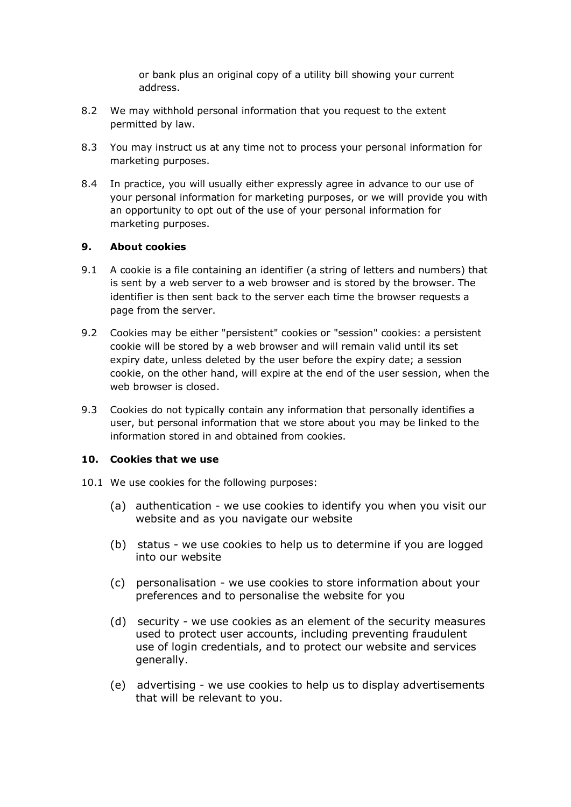or bank plus an original copy of a utility bill showing your current address.

- 8.2 We may withhold personal information that you request to the extent permitted by law.
- 8.3 You may instruct us at any time not to process your personal information for marketing purposes.
- 8.4 In practice, you will usually either expressly agree in advance to our use of your personal information for marketing purposes, or we will provide you with an opportunity to opt out of the use of your personal information for marketing purposes.

## **9. About cookies**

- 9.1 A cookie is a file containing an identifier (a string of letters and numbers) that is sent by a web server to a web browser and is stored by the browser. The identifier is then sent back to the server each time the browser requests a page from the server.
- 9.2 Cookies may be either "persistent" cookies or "session" cookies: a persistent cookie will be stored by a web browser and will remain valid until its set expiry date, unless deleted by the user before the expiry date; a session cookie, on the other hand, will expire at the end of the user session, when the web browser is closed.
- 9.3 Cookies do not typically contain any information that personally identifies a user, but personal information that we store about you may be linked to the information stored in and obtained from cookies.

## **10. Cookies that we use**

- 10.1 We use cookies for the following purposes:
	- (a) authentication we use cookies to identify you when you visit our website and as you navigate our website
	- (b) status we use cookies to help us to determine if you are logged into our website
	- (c) personalisation we use cookies to store information about your preferences and to personalise the website for you
	- (d) security we use cookies as an element of the security measures used to protect user accounts, including preventing fraudulent use of login credentials, and to protect our website and services generally.
	- (e) advertising we use cookies to help us to display advertisements that will be relevant to you.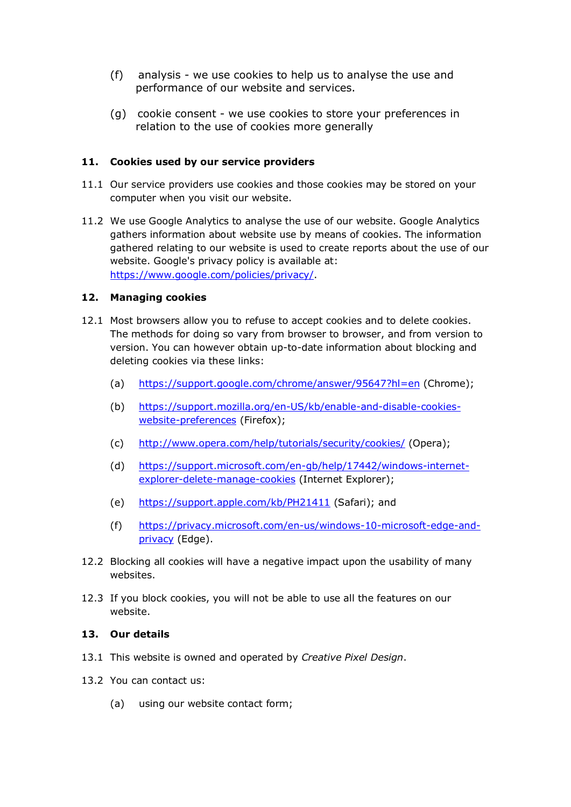- (f) analysis we use cookies to help us to analyse the use and performance of our website and services.
- (g) cookie consent we use cookies to store your preferences in relation to the use of cookies more generally

## **11. Cookies used by our service providers**

- 11.1 Our service providers use cookies and those cookies may be stored on your computer when you visit our website.
- 11.2 We use Google Analytics to analyse the use of our website. Google Analytics gathers information about website use by means of cookies. The information gathered relating to our website is used to create reports about the use of our website. Google's privacy policy is available at: https://www.google.com/policies/privacy/.

## **12. Managing cookies**

- 12.1 Most browsers allow you to refuse to accept cookies and to delete cookies. The methods for doing so vary from browser to browser, and from version to version. You can however obtain up-to-date information about blocking and deleting cookies via these links:
	- (a) https://support.google.com/chrome/answer/95647?hl=en (Chrome);
	- (b) https://support.mozilla.org/en-US/kb/enable-and-disable-cookieswebsite-preferences (Firefox);
	- (c) http://www.opera.com/help/tutorials/security/cookies/ (Opera);
	- (d) https://support.microsoft.com/en-gb/help/17442/windows-internetexplorer-delete-manage-cookies (Internet Explorer);
	- (e) https://support.apple.com/kb/PH21411 (Safari); and
	- (f) https://privacy.microsoft.com/en-us/windows-10-microsoft-edge-andprivacy (Edge).
- 12.2 Blocking all cookies will have a negative impact upon the usability of many websites.
- 12.3 If you block cookies, you will not be able to use all the features on our website.

#### **13. Our details**

- 13.1 This website is owned and operated by *Creative Pixel Design*.
- 13.2 You can contact us:
	- (a) using our website contact form;